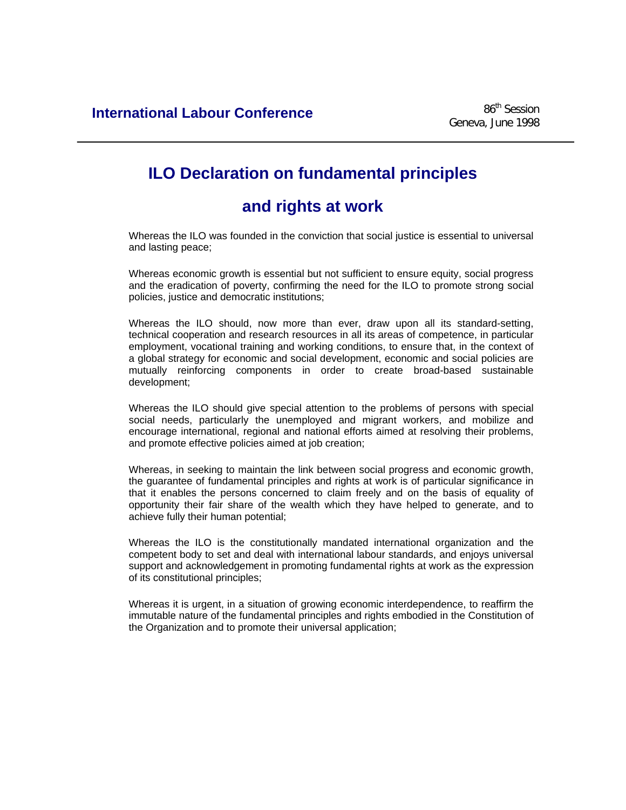# **ILO Declaration on fundamental principles**

# **and rights at work**

Whereas the ILO was founded in the conviction that social justice is essential to universal and lasting peace;

Whereas economic growth is essential but not sufficient to ensure equity, social progress and the eradication of poverty, confirming the need for the ILO to promote strong social policies, justice and democratic institutions;

Whereas the ILO should, now more than ever, draw upon all its standard-setting, technical cooperation and research resources in all its areas of competence, in particular employment, vocational training and working conditions, to ensure that, in the context of a global strategy for economic and social development, economic and social policies are mutually reinforcing components in order to create broad-based sustainable development;

Whereas the ILO should give special attention to the problems of persons with special social needs, particularly the unemployed and migrant workers, and mobilize and encourage international, regional and national efforts aimed at resolving their problems, and promote effective policies aimed at job creation;

Whereas, in seeking to maintain the link between social progress and economic growth, the guarantee of fundamental principles and rights at work is of particular significance in that it enables the persons concerned to claim freely and on the basis of equality of opportunity their fair share of the wealth which they have helped to generate, and to achieve fully their human potential;

Whereas the ILO is the constitutionally mandated international organization and the competent body to set and deal with international labour standards, and enjoys universal support and acknowledgement in promoting fundamental rights at work as the expression of its constitutional principles;

Whereas it is urgent, in a situation of growing economic interdependence, to reaffirm the immutable nature of the fundamental principles and rights embodied in the Constitution of the Organization and to promote their universal application;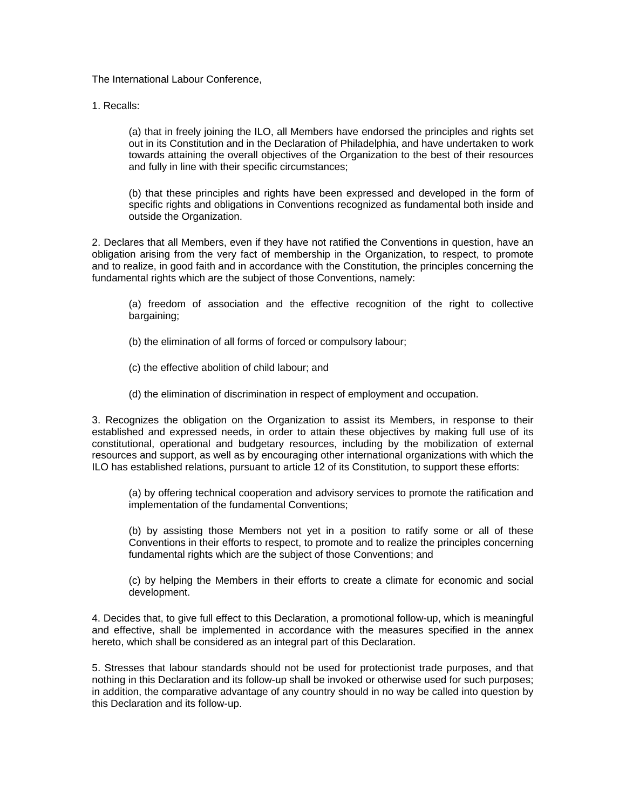The International Labour Conference,

1. Recalls:

(a) that in freely joining the ILO, all Members have endorsed the principles and rights set out in its Constitution and in the Declaration of Philadelphia, and have undertaken to work towards attaining the overall objectives of the Organization to the best of their resources and fully in line with their specific circumstances;

(b) that these principles and rights have been expressed and developed in the form of specific rights and obligations in Conventions recognized as fundamental both inside and outside the Organization.

2. Declares that all Members, even if they have not ratified the Conventions in question, have an obligation arising from the very fact of membership in the Organization, to respect, to promote and to realize, in good faith and in accordance with the Constitution, the principles concerning the fundamental rights which are the subject of those Conventions, namely:

(a) freedom of association and the effective recognition of the right to collective bargaining;

- (b) the elimination of all forms of forced or compulsory labour;
- (c) the effective abolition of child labour; and
- (d) the elimination of discrimination in respect of employment and occupation.

3. Recognizes the obligation on the Organization to assist its Members, in response to their established and expressed needs, in order to attain these objectives by making full use of its constitutional, operational and budgetary resources, including by the mobilization of external resources and support, as well as by encouraging other international organizations with which the ILO has established relations, pursuant to article 12 of its Constitution, to support these efforts:

(a) by offering technical cooperation and advisory services to promote the ratification and implementation of the fundamental Conventions;

(b) by assisting those Members not yet in a position to ratify some or all of these Conventions in their efforts to respect, to promote and to realize the principles concerning fundamental rights which are the subject of those Conventions; and

(c) by helping the Members in their efforts to create a climate for economic and social development.

4. Decides that, to give full effect to this Declaration, a promotional follow-up, which is meaningful and effective, shall be implemented in accordance with the measures specified in the annex hereto, which shall be considered as an integral part of this Declaration.

5. Stresses that labour standards should not be used for protectionist trade purposes, and that nothing in this Declaration and its follow-up shall be invoked or otherwise used for such purposes; in addition, the comparative advantage of any country should in no way be called into question by this Declaration and its follow-up.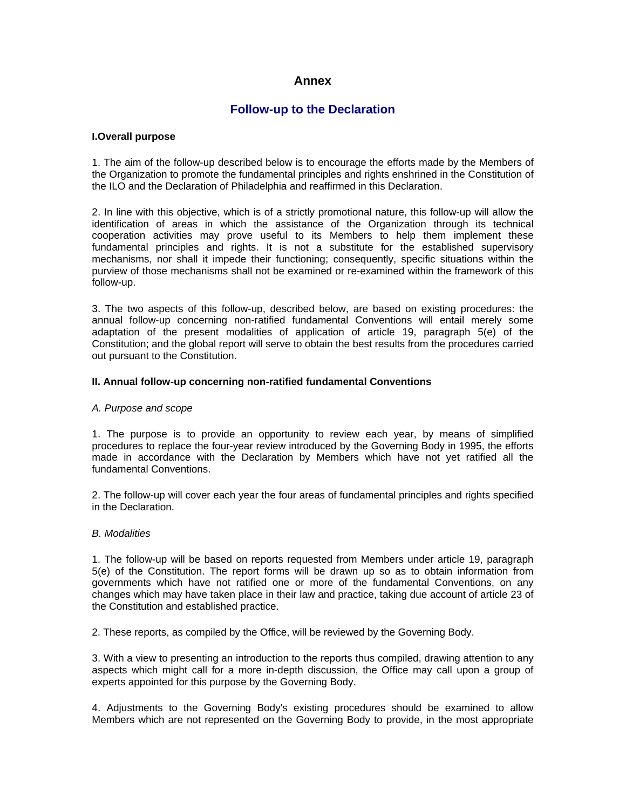# **Annex**

# **Follow-up to the Declaration**

#### **I.Overall purpose**

1. The aim of the follow-up described below is to encourage the efforts made by the Members of the Organization to promote the fundamental principles and rights enshrined in the Constitution of the ILO and the Declaration of Philadelphia and reaffirmed in this Declaration.

2. In line with this objective, which is of a strictly promotional nature, this follow-up will allow the identification of areas in which the assistance of the Organization through its technical cooperation activities may prove useful to its Members to help them implement these fundamental principles and rights. It is not a substitute for the established supervisory mechanisms, nor shall it impede their functioning; consequently, specific situations within the purview of those mechanisms shall not be examined or re-examined within the framework of this follow-up.

3. The two aspects of this follow-up, described below, are based on existing procedures: the annual follow-up concerning non-ratified fundamental Conventions will entail merely some adaptation of the present modalities of application of article 19, paragraph 5(e) of the Constitution; and the global report will serve to obtain the best results from the procedures carried out pursuant to the Constitution.

#### **II. Annual follow-up concerning non-ratified fundamental Conventions**

#### *A. Purpose and scope*

1. The purpose is to provide an opportunity to review each year, by means of simplified procedures to replace the four-year review introduced by the Governing Body in 1995, the efforts made in accordance with the Declaration by Members which have not yet ratified all the fundamental Conventions.

2. The follow-up will cover each year the four areas of fundamental principles and rights specified in the Declaration.

#### *B. Modalities*

1. The follow-up will be based on reports requested from Members under article 19, paragraph 5(e) of the Constitution. The report forms will be drawn up so as to obtain information from governments which have not ratified one or more of the fundamental Conventions, on any changes which may have taken place in their law and practice, taking due account of article 23 of the Constitution and established practice.

2. These reports, as compiled by the Office, will be reviewed by the Governing Body.

3. With a view to presenting an introduction to the reports thus compiled, drawing attention to any aspects which might call for a more in-depth discussion, the Office may call upon a group of experts appointed for this purpose by the Governing Body.

4. Adjustments to the Governing Body's existing procedures should be examined to allow Members which are not represented on the Governing Body to provide, in the most appropriate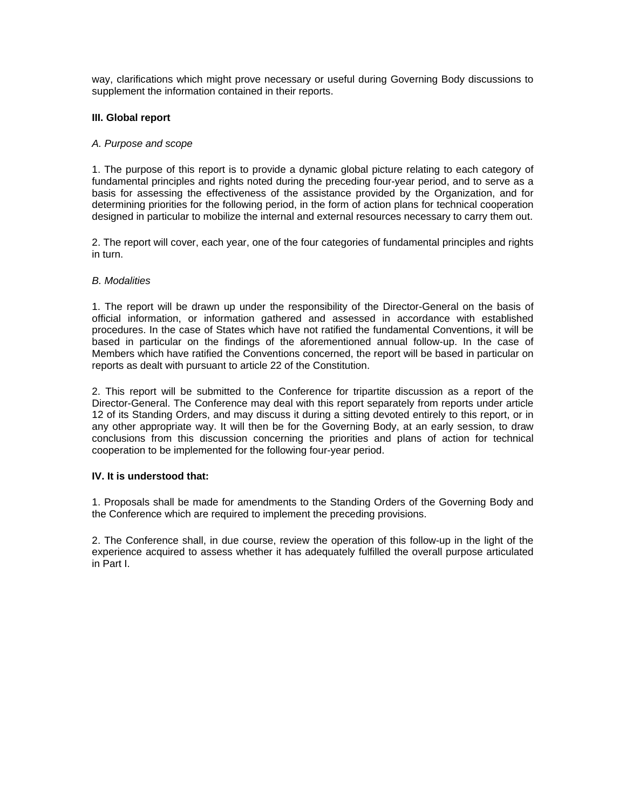way, clarifications which might prove necessary or useful during Governing Body discussions to supplement the information contained in their reports.

## **III. Global report**

## *A. Purpose and scope*

1. The purpose of this report is to provide a dynamic global picture relating to each category of fundamental principles and rights noted during the preceding four-year period, and to serve as a basis for assessing the effectiveness of the assistance provided by the Organization, and for determining priorities for the following period, in the form of action plans for technical cooperation designed in particular to mobilize the internal and external resources necessary to carry them out.

2. The report will cover, each year, one of the four categories of fundamental principles and rights in turn.

## *B. Modalities*

1. The report will be drawn up under the responsibility of the Director-General on the basis of official information, or information gathered and assessed in accordance with established procedures. In the case of States which have not ratified the fundamental Conventions, it will be based in particular on the findings of the aforementioned annual follow-up. In the case of Members which have ratified the Conventions concerned, the report will be based in particular on reports as dealt with pursuant to article 22 of the Constitution.

2. This report will be submitted to the Conference for tripartite discussion as a report of the Director-General. The Conference may deal with this report separately from reports under article 12 of its Standing Orders, and may discuss it during a sitting devoted entirely to this report, or in any other appropriate way. It will then be for the Governing Body, at an early session, to draw conclusions from this discussion concerning the priorities and plans of action for technical cooperation to be implemented for the following four-year period.

## **IV. It is understood that:**

1. Proposals shall be made for amendments to the Standing Orders of the Governing Body and the Conference which are required to implement the preceding provisions.

2. The Conference shall, in due course, review the operation of this follow-up in the light of the experience acquired to assess whether it has adequately fulfilled the overall purpose articulated in Part I.